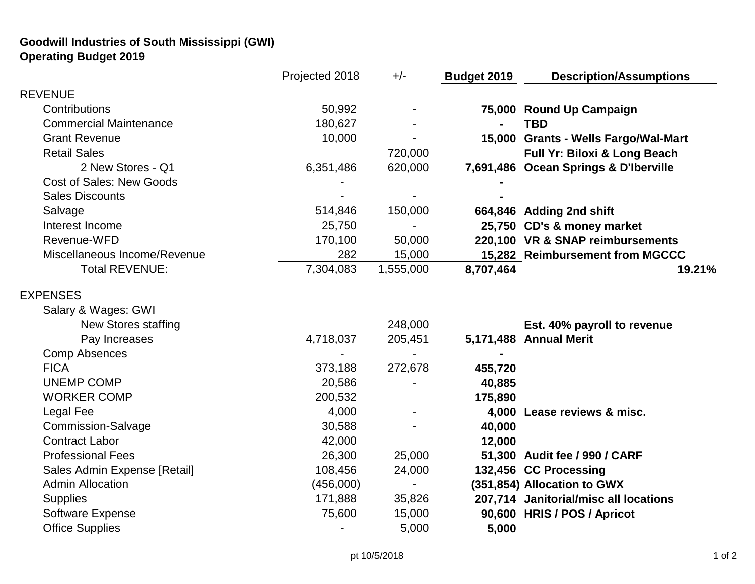## **Goodwill Industries of South Mississippi (GWI) Operating Budget 2019**

|                                 | Projected 2018 | $+/-$     | <b>Budget 2019</b> | <b>Description/Assumptions</b>        |
|---------------------------------|----------------|-----------|--------------------|---------------------------------------|
| <b>REVENUE</b>                  |                |           |                    |                                       |
| Contributions                   | 50,992         |           |                    | 75,000 Round Up Campaign              |
| <b>Commercial Maintenance</b>   | 180,627        |           |                    | <b>TBD</b>                            |
| <b>Grant Revenue</b>            | 10,000         |           |                    | 15,000 Grants - Wells Fargo/Wal-Mart  |
| <b>Retail Sales</b>             |                | 720,000   |                    | Full Yr: Biloxi & Long Beach          |
| 2 New Stores - Q1               | 6,351,486      | 620,000   |                    | 7,691,486 Ocean Springs & D'Iberville |
| <b>Cost of Sales: New Goods</b> |                |           |                    |                                       |
| <b>Sales Discounts</b>          |                |           |                    |                                       |
| Salvage                         | 514,846        | 150,000   |                    | 664,846 Adding 2nd shift              |
| Interest Income                 | 25,750         |           |                    | 25,750 CD's & money market            |
| Revenue-WFD                     | 170,100        | 50,000    |                    | 220,100 VR & SNAP reimbursements      |
| Miscellaneous Income/Revenue    | 282            | 15,000    |                    | 15,282 Reimbursement from MGCCC       |
| <b>Total REVENUE:</b>           | 7,304,083      | 1,555,000 | 8,707,464          | 19.21%                                |
| <b>EXPENSES</b>                 |                |           |                    |                                       |
| Salary & Wages: GWI             |                |           |                    |                                       |
| <b>New Stores staffing</b>      |                | 248,000   |                    | Est. 40% payroll to revenue           |
| Pay Increases                   | 4,718,037      | 205,451   |                    | 5,171,488 Annual Merit                |
| <b>Comp Absences</b>            |                |           |                    |                                       |
| <b>FICA</b>                     | 373,188        | 272,678   | 455,720            |                                       |
| <b>UNEMP COMP</b>               | 20,586         |           | 40,885             |                                       |
| <b>WORKER COMP</b>              | 200,532        |           | 175,890            |                                       |
| Legal Fee                       | 4,000          |           |                    | 4,000 Lease reviews & misc.           |
| <b>Commission-Salvage</b>       | 30,588         |           | 40,000             |                                       |
| <b>Contract Labor</b>           | 42,000         |           | 12,000             |                                       |
| <b>Professional Fees</b>        | 26,300         | 25,000    |                    | 51,300 Audit fee / 990 / CARF         |
| Sales Admin Expense [Retail]    | 108,456        | 24,000    |                    | 132,456 CC Processing                 |
| <b>Admin Allocation</b>         | (456,000)      |           |                    | (351,854) Allocation to GWX           |
| <b>Supplies</b>                 | 171,888        | 35,826    |                    | 207,714 Janitorial/misc all locations |
| <b>Software Expense</b>         | 75,600         | 15,000    |                    | 90,600 HRIS / POS / Apricot           |
| <b>Office Supplies</b>          |                | 5,000     | 5,000              |                                       |